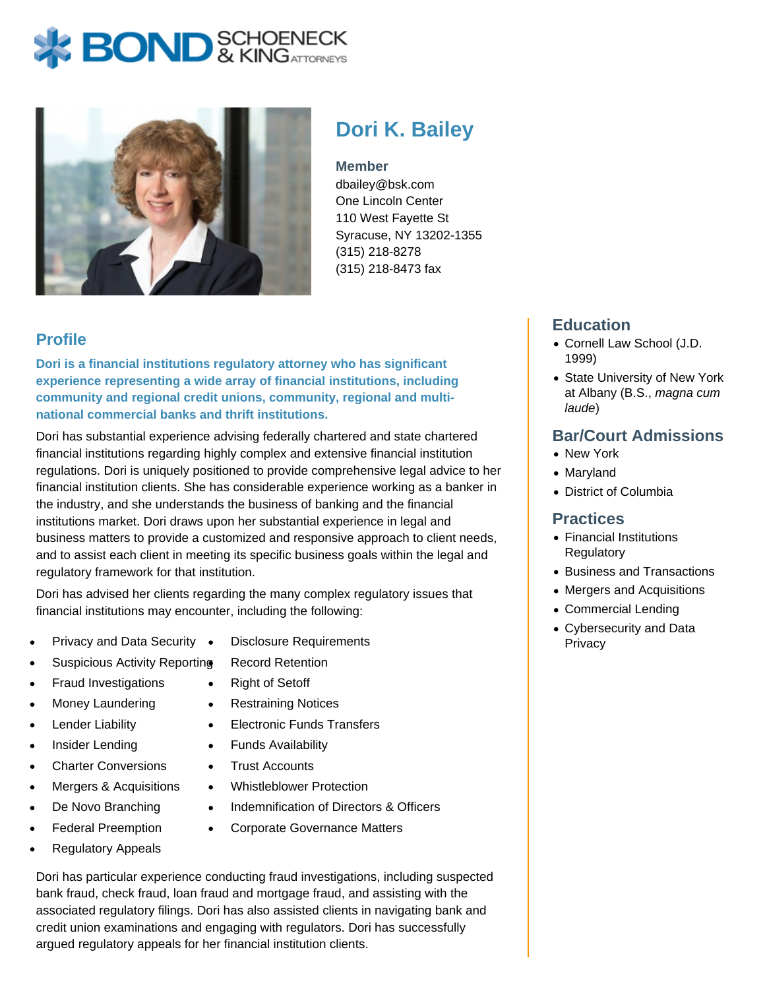# **BOND** & KINGATTORNECK



# **Dori K. Bailey**

#### **Member**

dbailey@bsk.com One Lincoln Center 110 West Fayette St Syracuse, NY 13202-1355 (315) 218-8278 (315) 218-8473 fax

# **Profile**

**Dori is a financial institutions regulatory attorney who has significant experience representing a wide array of financial institutions, including community and regional credit unions, community, regional and multinational commercial banks and thrift institutions.**

Dori has substantial experience advising federally chartered and state chartered financial institutions regarding highly complex and extensive financial institution regulations. Dori is uniquely positioned to provide comprehensive legal advice to her financial institution clients. She has considerable experience working as a banker in the industry, and she understands the business of banking and the financial institutions market. Dori draws upon her substantial experience in legal and business matters to provide a customized and responsive approach to client needs, and to assist each client in meeting its specific business goals within the legal and regulatory framework for that institution.

Dori has advised her clients regarding the many complex regulatory issues that financial institutions may encounter, including the following:

- Privacy and Data Security •
- Disclosure Requirements
- Suspicious Activity Reporting
	- Record Retention Right of Setoff  $\bullet$
- Fraud Investigations
- Money Laundering  $\bullet$
- Lender Liability
- Insider Lending
- Charter Conversions
- Mergers & Acquisitions  $\bullet$
- De Novo Branching
- Federal Preemption  $\bullet$
- Regulatory Appeals
- Restraining Notices  $\bullet$
- Electronic Funds Transfers  $\bullet$
- Funds Availability  $\bullet$
- Trust Accounts  $\bullet$

 $\bullet$ 

- Whistleblower Protection  $\bullet$ 
	- Indemnification of Directors & Officers
- Corporate Governance Matters  $\bullet$

Dori has particular experience conducting fraud investigations, including suspected bank fraud, check fraud, loan fraud and mortgage fraud, and assisting with the associated regulatory filings. Dori has also assisted clients in navigating bank and credit union examinations and engaging with regulators. Dori has successfully argued regulatory appeals for her financial institution clients.

# **Education**

- Cornell Law School (J.D. 1999)
- State University of New York at Albany (B.S., magna cum laude)

### **Bar/Court Admissions**

- New York
- Maryland
- District of Columbia

#### **Practices**

- Financial Institutions **Regulatory**
- Business and Transactions
- Mergers and Acquisitions
- Commercial Lending
- Cybersecurity and Data **Privacy**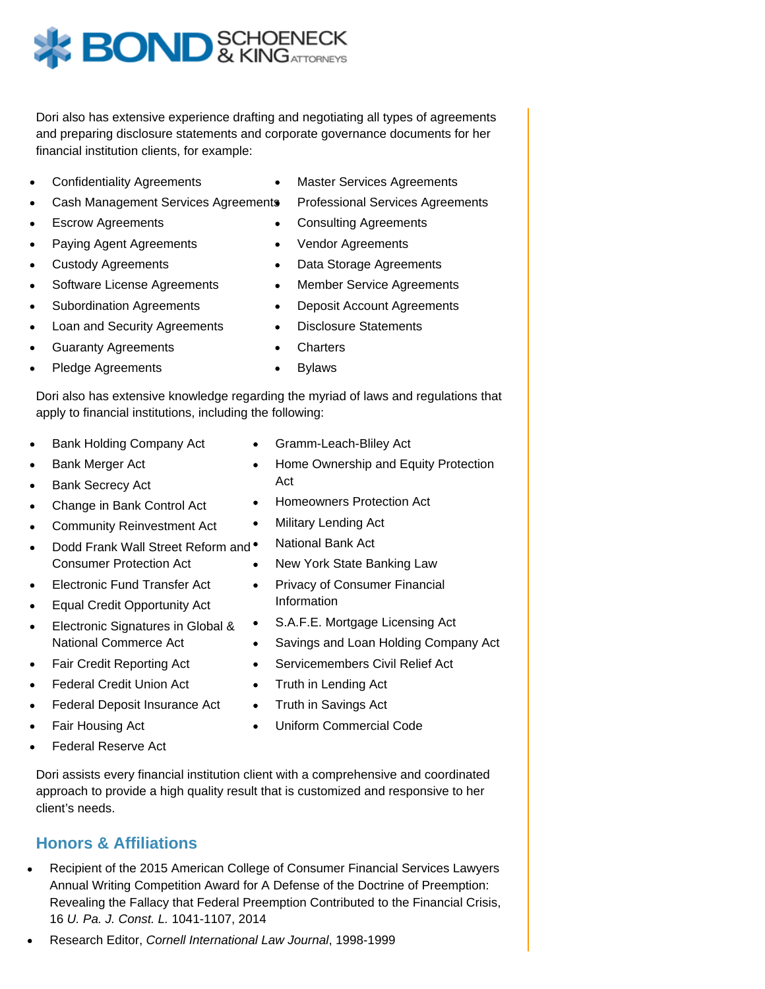

Dori also has extensive experience drafting and negotiating all types of agreements and preparing disclosure statements and corporate governance documents for her financial institution clients, for example:

- Confidentiality Agreements
- Cash Management Services Agreements  $\bullet$
- Escrow Agreements
- Paying Agent Agreements  $\bullet$
- Custody Agreements
- Software License Agreements  $\bullet$
- Subordination Agreements
- Loan and Security Agreements  $\bullet$
- Guaranty Agreements
- Pledge Agreements
- Master Services Agreements  $\bullet$ 
	- Professional Services Agreements
- Consulting Agreements
- Vendor Agreements  $\bullet$
- $\bullet$ Data Storage Agreements
- $\bullet$ Member Service Agreements
- Deposit Account Agreements  $\bullet$
- Disclosure Statements  $\bullet$
- Charters  $\bullet$
- Bylaws  $\bullet$

Dori also has extensive knowledge regarding the myriad of laws and regulations that apply to financial institutions, including the following:

- Bank Holding Company Act
- Bank Merger Act
- Bank Secrecy Act
- Change in Bank Control Act  $\bullet$
- Community Reinvestment Act
- Dodd Frank Wall Street Reform and  $\bullet$  $\bullet$ Consumer Protection Act
- Electronic Fund Transfer Act
- Equal Credit Opportunity Act
- Electronic Signatures in Global &  $\bullet$ National Commerce Act
- Fair Credit Reporting Act
- Federal Credit Union Act
- Federal Deposit Insurance Act
- Fair Housing Act
- Federal Reserve Act  $\bullet$

Dori assists every financial institution client with a comprehensive and coordinated approach to provide a high quality result that is customized and responsive to her client's needs.

## **Honors & Affiliations**

- Recipient of the 2015 American College of Consumer Financial Services Lawyers Annual Writing Competition Award for A Defense of the Doctrine of Preemption: Revealing the Fallacy that Federal Preemption Contributed to the Financial Crisis, 16 U. Pa. J. Const. L. 1041-1107, 2014
- Research Editor, Cornell International Law Journal, 1998-1999
- Gramm-Leach-Bliley Act
- Home Ownership and Equity Protection Act
- Homeowners Protection Act
- Military Lending Act  $\bullet$ 
	- National Bank Act
- New York State Banking Law
- Privacy of Consumer Financial  $\bullet$ Information
- S.A.F.E. Mortgage Licensing Act
- Savings and Loan Holding Company Act  $\bullet$
- Servicemembers Civil Relief Act  $\bullet$
- Truth in Lending Act  $\bullet$
- $\bullet$ Truth in Savings Act
- Uniform Commercial Code